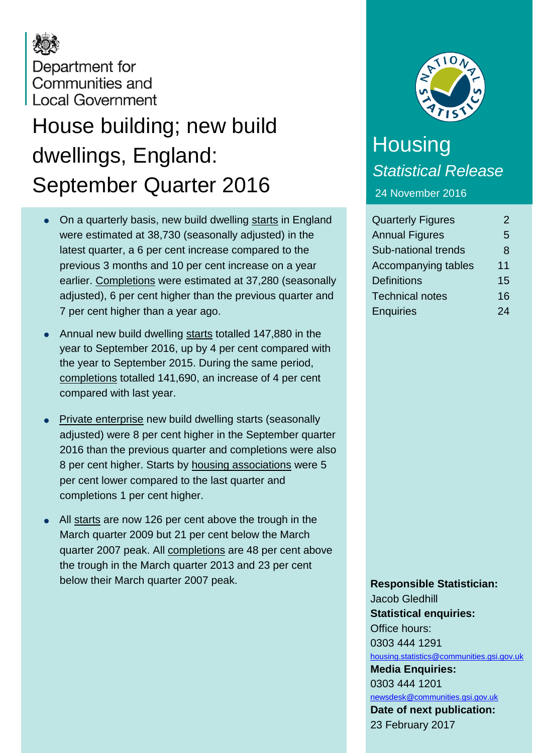# Department for Communities and **Local Government**

# House building; new build dwellings, England: September Quarter 2016

- On a quarterly basis, new build dwelling starts in England were estimated at 38,730 (seasonally adjusted) in the latest quarter, a 6 per cent increase compared to the previous 3 months and 10 per cent increase on a year earlier. Completions were estimated at 37,280 (seasonally adjusted), 6 per cent higher than the previous quarter and 7 per cent higher than a year ago.
- Annual new build dwelling starts totalled 147,880 in the year to September 2016, up by 4 per cent compared with the year to September 2015. During the same period, completions totalled 141,690, an increase of 4 per cent compared with last year.
- Private enterprise new build dwelling starts (seasonally adjusted) were 8 per cent higher in the September quarter 2016 than the previous quarter and completions were also 8 per cent higher. Starts by housing associations were 5 per cent lower compared to the last quarter and completions 1 per cent higher.
- All starts are now 126 per cent above the trough in the March quarter 2009 but 21 per cent below the March quarter 2007 peak. All completions are 48 per cent above the trough in the March quarter 2013 and 23 per cent below their March quarter 2007 peak.



## **Housing** *Statistical Release* 24 November 2016

Quarterly Figures 2 Annual Figures 5 Sub-national trends 8 Accompanying tables 11 Definitions 15 Technical notes 16 Enquiries 24

**Responsible Statistician:**

Jacob Gledhill **Statistical enquiries:** Office hours: 0303 444 1291 [housing.statistics@communities.gsi.gov.uk](mailto:housing.statistics@communities.gsi.gov.uk) **Media Enquiries:** 0303 444 1201 [newsdesk@communities.gsi.gov.uk](mailto:newsdesk@communities.gsi.gov.uk) **Date of next publication:** 23 February 2017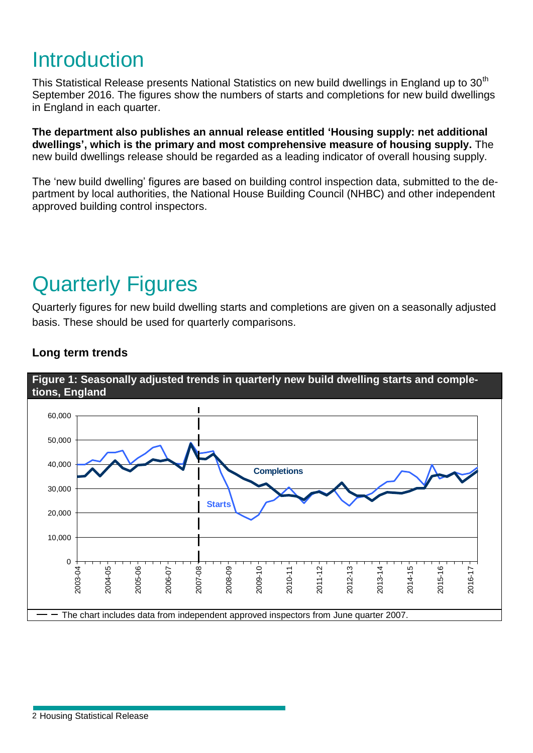# **Introduction**

This Statistical Release presents National Statistics on new build dwellings in England up to 30<sup>th</sup> September 2016. The figures show the numbers of starts and completions for new build dwellings in England in each quarter.

**The department also publishes an annual release entitled 'Housing supply: net additional dwellings', which is the primary and most comprehensive measure of housing supply.** The new build dwellings release should be regarded as a leading indicator of overall housing supply.

The 'new build dwelling' figures are based on building control inspection data, submitted to the department by local authorities, the National House Building Council (NHBC) and other independent approved building control inspectors.

# Quarterly Figures

Quarterly figures for new build dwelling starts and completions are given on a seasonally adjusted basis. These should be used for quarterly comparisons.



### **Long term trends**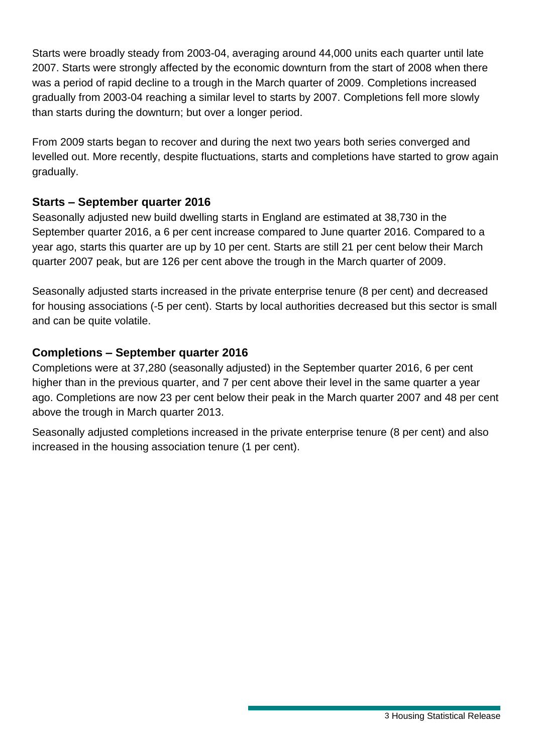Starts were broadly steady from 2003-04, averaging around 44,000 units each quarter until late 2007. Starts were strongly affected by the economic downturn from the start of 2008 when there was a period of rapid decline to a trough in the March quarter of 2009. Completions increased gradually from 2003-04 reaching a similar level to starts by 2007. Completions fell more slowly than starts during the downturn; but over a longer period.

From 2009 starts began to recover and during the next two years both series converged and levelled out. More recently, despite fluctuations, starts and completions have started to grow again gradually.

#### **Starts – September quarter 2016**

Seasonally adjusted new build dwelling starts in England are estimated at 38,730 in the September quarter 2016, a 6 per cent increase compared to June quarter 2016. Compared to a year ago, starts this quarter are up by 10 per cent. Starts are still 21 per cent below their March quarter 2007 peak, but are 126 per cent above the trough in the March quarter of 2009.

Seasonally adjusted starts increased in the private enterprise tenure (8 per cent) and decreased for housing associations (-5 per cent). Starts by local authorities decreased but this sector is small and can be quite volatile.

#### **Completions – September quarter 2016**

Completions were at 37,280 (seasonally adjusted) in the September quarter 2016, 6 per cent higher than in the previous quarter, and 7 per cent above their level in the same quarter a year ago. Completions are now 23 per cent below their peak in the March quarter 2007 and 48 per cent above the trough in March quarter 2013.

Seasonally adjusted completions increased in the private enterprise tenure (8 per cent) and also increased in the housing association tenure (1 per cent).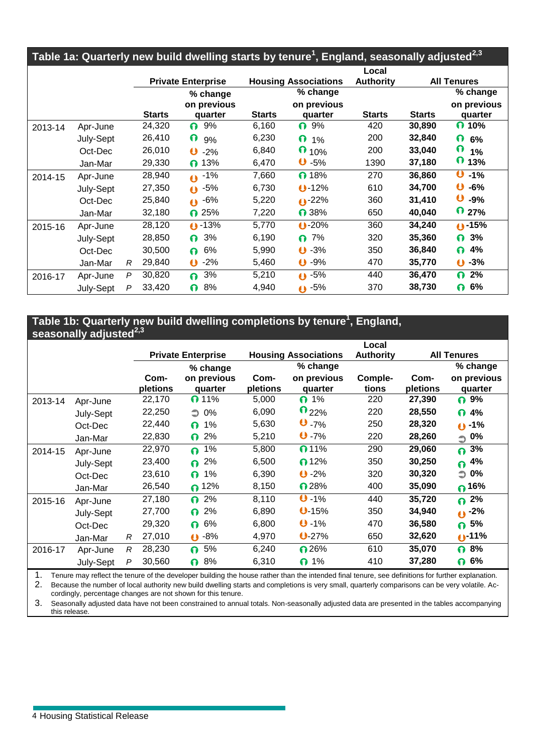| Table 1a: Quarterly new build dwelling starts by tenure <sup>1</sup> , England, seasonally adjusted <sup>2,3</sup> |           |   |               |                            |               |                             |                           |               |                           |  |
|--------------------------------------------------------------------------------------------------------------------|-----------|---|---------------|----------------------------|---------------|-----------------------------|---------------------------|---------------|---------------------------|--|
|                                                                                                                    |           |   |               | <b>Private Enterprise</b>  |               | <b>Housing Associations</b> | Local<br><b>Authority</b> |               | <b>All Tenures</b>        |  |
|                                                                                                                    |           |   |               | % change                   |               | % change                    |                           |               | % change                  |  |
|                                                                                                                    |           |   | <b>Starts</b> | on previous<br>quarter     | <b>Starts</b> | on previous<br>quarter      | <b>Starts</b>             | <b>Starts</b> | on previous<br>quarter    |  |
| 2013-14                                                                                                            | Apr-June  |   | 24,320        | 9%<br>0                    | 6,160         | 9%<br>0                     | 420                       | 30,890        | $\Omega$ 10%              |  |
|                                                                                                                    | July-Sept |   | 26,410        | $\Omega$<br>9%             | 6,230         | $\Omega$<br>1%              | 200                       | 32,840        | $\Omega$<br>6%            |  |
|                                                                                                                    | Oct-Dec   |   | 26,010        | $\mathbf \omega$<br>$-2%$  | 6,840         | $\mathbf \Omega$<br>10%     | 200                       | 33,040        | ი<br>1%                   |  |
|                                                                                                                    | Jan-Mar   |   | 29,330        | $\bigcap$ 13%              | 6,470         | $\mathbf{0}$ -5%            | 1390                      | 37,180        | O.<br>13%                 |  |
| 2014-15                                                                                                            | Apr-June  |   | 28,940        | $0 - 1\%$                  | 7,660         | n 18%                       | 270                       | 36,860        | Û<br>$-1%$                |  |
|                                                                                                                    | July-Sept |   | 27,350        | $0 - 5\%$                  | 6,730         | $0 - 12%$                   | 610                       | 34,700        | $\mathbf \Theta$<br>$-6%$ |  |
|                                                                                                                    | Oct-Dec   |   | 25,840        | $0 - 6\%$                  | 5,220         | $0 - 22%$                   | 360                       | 31,410        | $-9%$                     |  |
|                                                                                                                    | Jan-Mar   |   | 32,180        | $\bigcap$ 25%              | 7,220         | $\bigcap$ 38%               | 650                       | 40,040        | $\Omega$ 27%              |  |
| 2015-16                                                                                                            | Apr-June  |   | 28,120        | $0 - 13%$                  | 5,770         | $0 - 20%$                   | 360                       | 34,240        | $0 - 15%$                 |  |
|                                                                                                                    | July-Sept |   | 28,850        | 3%<br>0                    | 6,190         | 7%<br>Ω.                    | 320                       | 35,360        | 3%<br>0                   |  |
|                                                                                                                    | Oct-Dec   |   | 30,500        | 6%<br>∩                    | 5,990         | $\mathbf{0}$ -3%            | 350                       | 36,840        | 4%<br>ი                   |  |
|                                                                                                                    | Jan-Mar   | R | 29,840        | $-2%$<br>$\mathbf{\Theta}$ | 5,460         | $\mathbf{0}$ -9%            | 470                       | 35,770        | $-3%$<br>$\bullet$        |  |
| 2016-17                                                                                                            | Apr-June  | P | 30,820        | 3%<br>∩                    | 5,210         | $\bullet$ -5%               | 440                       | 36,470        | 2%<br>ი                   |  |
|                                                                                                                    | July-Sept | P | 33,420        | 8%<br>0                    | 4,940         | $0 - 5\%$                   | 370                       | 38,730        | 6%<br>0                   |  |

#### **Table 1b: Quarterly new build dwelling completions by tenure<sup>1</sup> , England, seasonally adjusted2,3**

|         | oaoonany aajaotoa |   |                           |                |                             |                     | Local            |                    |                       |
|---------|-------------------|---|---------------------------|----------------|-----------------------------|---------------------|------------------|--------------------|-----------------------|
|         |                   |   | <b>Private Enterprise</b> |                | <b>Housing Associations</b> |                     | <b>Authority</b> | <b>All Tenures</b> |                       |
|         |                   |   |                           | % change       |                             | % change            |                  |                    | % change              |
|         |                   |   | Com-                      | on previous    | Com-                        | on previous         | Comple-          | Com-               | on previous           |
|         |                   |   | pletions                  | quarter        | pletions                    | quarter             | tions            | pletions           | quarter               |
| 2013-14 | Apr-June          |   | 22,170                    | $\Omega$ 11%   | 5,000                       | $\bigcap$ 1%        | 220              | 27,390             | $\Omega$ 9%           |
|         | July-Sept         |   | 22,250                    | $\supset$ 0%   | 6,090                       | $\mathbf{0}_{22\%}$ | 220              | 28,550             | 4%<br>0               |
|         | Oct-Dec           |   | 22,440                    | 1%<br>$\Omega$ | 5,630                       | 0.7%                | 250              | 28,320             | $0 - 1%$              |
|         | Jan-Mar           |   | 22,830                    | 2%<br>$\Omega$ | 5,210                       | $0 - 7%$            | 220              | 28,260             | $\supset$ 0%          |
| 2014-15 | Apr-June          |   | 22,970                    | 1%<br>$\Omega$ | 5,800                       | $\bigcap$ 11%       | 290              | 29,060             | 3%<br>Q.              |
|         | July-Sept         |   | 23,400                    | 2%<br>$\Omega$ | 6,500                       | $\bigcap$ 12%       | 350              | 30,250             | 4%<br>Q               |
|         | Oct-Dec           |   | 23,610                    | 1%<br>$\Omega$ | 6,390                       | $O - 2%$            | 320              | 30,320             | 0%<br>$\bigcirc$      |
|         | Jan-Mar           |   | 26,540                    | $\bigcap$ 12%  | 8,150                       | n 28%               | 400              | 35,090             | $\bigcap_{ }^{ }$ 16% |
| 2015-16 | Apr-June          |   | 27,180                    | 2%<br>$\Omega$ | 8,110                       | $0 - 1%$            | 440              | 35,720             | 2%<br>$\Omega$        |
|         | July-Sept         |   | 27,700                    | 2%<br>0        | 6,890                       | 0.15%               | 350              | 34,940             | $0 - 2\%$             |
|         | Oct-Dec           |   | 29,320                    | 6%<br>$\Omega$ | 6,800                       | $0 - 1%$            | 470              | 36,580             | 5%<br>0               |
|         | Jan-Mar           | R | 27,010                    | $0 - 8%$       | 4,970                       | 0.27%               | 650              | 32,620             | $0 - 11%$             |
| 2016-17 | Apr-June          | R | 28,230                    | 5%<br>$\Omega$ | 6,240                       | $\bigcap 26\%$      | 610              | 35,070             | 8%<br>0               |
|         | July-Sept         | P | 30,560                    | 8%<br>∩        | 6,310                       | $\bigcap$ 1%        | 410              | 37,280             | 6%<br>0               |

1. Tenure may reflect the tenure of the developer building the house rather than the intended final tenure, see definitions for further explanation. 2. Because the number of local authority new build dwelling starts and completions is very small, quarterly comparisons can be very volatile. Accordingly, percentage changes are not shown for this tenure.

3. Seasonally adjusted data have not been constrained to annual totals. Non-seasonally adjusted data are presented in the tables accompanying this release.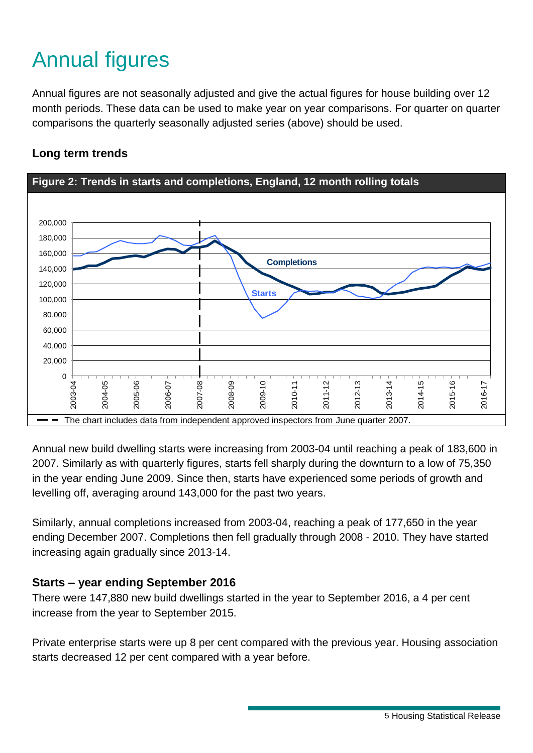# Annual figures

Annual figures are not seasonally adjusted and give the actual figures for house building over 12 month periods. These data can be used to make year on year comparisons. For quarter on quarter comparisons the quarterly seasonally adjusted series (above) should be used.



#### **Long term trends**

Annual new build dwelling starts were increasing from 2003-04 until reaching a peak of 183,600 in 2007. Similarly as with quarterly figures, starts fell sharply during the downturn to a low of 75,350 in the year ending June 2009. Since then, starts have experienced some periods of growth and levelling off, averaging around 143,000 for the past two years.

Similarly, annual completions increased from 2003-04, reaching a peak of 177,650 in the year ending December 2007. Completions then fell gradually through 2008 - 2010. They have started increasing again gradually since 2013-14.

#### **Starts – year ending September 2016**

There were 147,880 new build dwellings started in the year to September 2016, a 4 per cent increase from the year to September 2015.

Private enterprise starts were up 8 per cent compared with the previous year. Housing association starts decreased 12 per cent compared with a year before.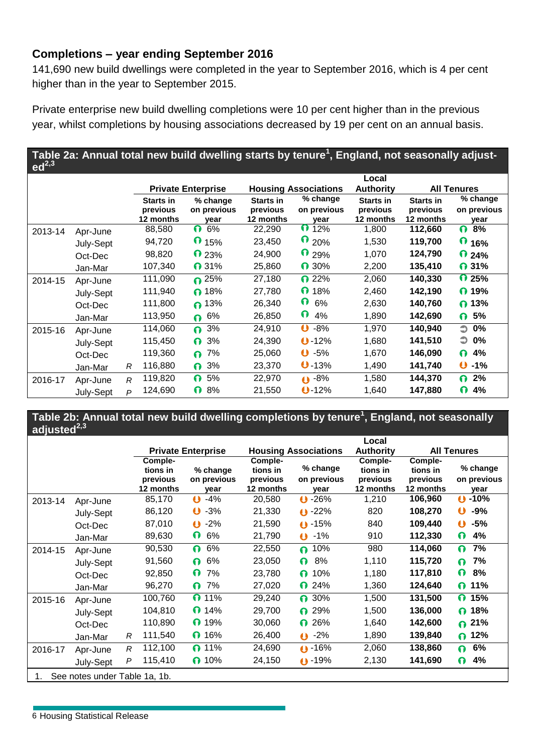#### **Completions – year ending September 2016**

141,690 new build dwellings were completed in the year to September 2016, which is 4 per cent higher than in the year to September 2015.

Private enterprise new build dwelling completions were 10 per cent higher than in the previous year, whilst completions by housing associations decreased by 19 per cent on an annual basis.

#### **Table 2a: Annual total new build dwelling starts by tenure<sup>1</sup> , England, not seasonally adjusted2,3**

|         |           |              |                                           |                                 |                                           |                                   | Local                                     |                                    |                                 |
|---------|-----------|--------------|-------------------------------------------|---------------------------------|-------------------------------------------|-----------------------------------|-------------------------------------------|------------------------------------|---------------------------------|
|         |           |              |                                           | <b>Private Enterprise</b>       |                                           | <b>Housing Associations</b>       | <b>Authority</b>                          |                                    | <b>All Tenures</b>              |
|         |           |              | <b>Starts in</b><br>previous<br>12 months | % change<br>on previous<br>vear | <b>Starts in</b><br>previous<br>12 months | $%$ change<br>on previous<br>year | <b>Starts in</b><br>previous<br>12 months | Starts in<br>previous<br>12 months | % change<br>on previous<br>year |
| 2013-14 | Apr-June  |              | 88,580                                    | 0<br>6%                         | 22,290                                    | $\bigcap_{12\%}$                  | 1,800                                     | 112,660                            | 8%<br>0                         |
|         | July-Sept |              | 94,720                                    | $\bigcap_{15\%}$                | 23,450                                    | $\mathbf{0}_{20\%}$               | 1,530                                     | 119,700                            | <b>0</b> 16%                    |
|         | Oct-Dec   |              | 98,820                                    | $\Omega$ 23%                    | 24,900                                    | $\mathbf{0}$ 29%                  | 1,070                                     | 124,790                            | $\Omega$ 24%                    |
|         | Jan-Mar   |              | 107,340                                   | $\mathbf{\Omega}$ 31%           | 25,860                                    | <b>0</b> 30%                      | 2,200                                     | 135,410                            | $\Omega$ 31%                    |
| 2014-15 | Apr-June  |              | 111,090                                   | $\Omega$ 25%                    | 27,180                                    | $\Omega$ 22%                      | 2,060                                     | 140,330                            | $\Omega$ 25%                    |
|         | July-Sept |              | 111,940                                   | $\bigcap$ 18%                   | 27,780                                    | $\Omega$ 18%                      | 2,460                                     | 142,190                            | $\Omega$ 19%                    |
|         | Oct-Dec   |              | 111,800                                   | $\bigcap$ 13%                   | 26,340                                    | $\mathbf \Omega$<br>6%            | 2,630                                     | 140,760                            | $\bigcap$ 13%                   |
|         | Jan-Mar   |              | 113,950                                   | 6%<br>0                         | 26,850                                    | $\mathbf \Omega$<br>4%            | 1,890                                     | 142,690                            | $\bigcap$ 5%                    |
| 2015-16 | Apr-June  |              | 114,060                                   | 3%<br>0                         | 24,910                                    | $O - 8%$                          | 1,970                                     | 140,940                            | $\supset$ 0%                    |
|         | July-Sept |              | 115,450                                   | 3%<br>0                         | 24,390                                    | $0 - 12%$                         | 1,680                                     | 141,510                            | $\supset$ 0%                    |
|         | Oct-Dec   |              | 119,360                                   | 7%<br>0                         | 25,060                                    | $O - 5%$                          | 1,670                                     | 146,090                            | 4%<br>0                         |
|         | Jan-Mar   | R            | 116,880                                   | 3%<br>0                         | 23,370                                    | $0 - 13%$                         | 1,490                                     | 141,740                            | $O - 1%$                        |
| 2016-17 | Apr-June  | R            | 119,820                                   | 5%<br>0.                        | 22,970                                    | $0 - 8%$                          | 1,580                                     | 144,370                            | 2%<br>0                         |
|         | July-Sept | $\mathsf{P}$ | 124,690                                   | $\Omega$<br>8%                  | 21,550                                    | $0 - 12%$                         | 1,640                                     | 147,880                            | 4%<br>0                         |

**Table 2b: Annual total new build dwelling completions by tenure<sup>1</sup> , England, not seasonally adjusted2,3**

|                                     |           |   |                                              |                                 |                                              |                                   | Local                                        |                                              |                                 |
|-------------------------------------|-----------|---|----------------------------------------------|---------------------------------|----------------------------------------------|-----------------------------------|----------------------------------------------|----------------------------------------------|---------------------------------|
|                                     |           |   |                                              | <b>Private Enterprise</b>       |                                              | <b>Housing Associations</b>       | <b>Authority</b>                             |                                              | <b>All Tenures</b>              |
|                                     |           |   | Comple-<br>tions in<br>previous<br>12 months | % change<br>on previous<br>year | Comple-<br>tions in<br>previous<br>12 months | $%$ change<br>on previous<br>vear | Comple-<br>tions in<br>previous<br>12 months | Comple-<br>tions in<br>previous<br>12 months | % change<br>on previous<br>vear |
| 2013-14                             | Apr-June  |   | 85,170                                       | $-4%$<br>$\mathbf o$            | 20,580                                       | $0 - 26%$                         | 1,210                                        | 106,960                                      | $0 - 10%$                       |
|                                     | July-Sept |   | 86,120                                       | $\bullet$<br>$-3%$              | 21,330                                       | $0 - 22%$                         | 820                                          | 108,270                                      | $\mathbf \omega$<br>$-9%$       |
|                                     | Oct-Dec   |   | 87,010                                       | $-2%$<br>$\mathbf 0$            | 21,590                                       | $0 - 15%$                         | 840                                          | 109,440                                      | $\mathbf 0$<br>$-5%$            |
|                                     | Jan-Mar   |   | 89,630                                       | $\mathbf \Omega$<br>6%          | 21,790                                       | $0 - 1\%$                         | 910                                          | 112,330                                      | 0<br>4%                         |
| 2014-15                             | Apr-June  |   | 90,530                                       | 6%<br>0                         | 22,550                                       | 10%<br><u>ດ</u>                   | 980                                          | 114,060                                      | 7%<br>∩                         |
|                                     | July-Sept |   | 91,560                                       | 6%<br>$\Omega$                  | 23,050                                       | 8%<br>0                           | 1,110                                        | 115,720                                      | 7%<br>∩                         |
|                                     | Oct-Dec   |   | 92,850                                       | $\mathbf \Omega$<br>7%          | 23,780                                       | 10%<br>0                          | 1,180                                        | 117,810                                      | ი<br>8%                         |
|                                     | Jan-Mar   |   | 96,270                                       | 7%<br>$\Omega$                  | 27,020                                       | $\Omega$ 24%                      | 1,360                                        | 124,640                                      | $\Omega$ 11%                    |
| 2015-16                             | Apr-June  |   | 100,760                                      | $\Omega$ 11%                    | 29,240                                       | $\bigcap 30\%$                    | 1,500                                        | 131,500                                      | 0.<br>15%                       |
|                                     | July-Sept |   | 104,810                                      | $\Omega$ 14%                    | 29,700                                       | 29%<br>Ω.                         | 1,500                                        | 136,000                                      | 18%<br><u>ი</u>                 |
|                                     | Oct-Dec   |   | 110,890                                      | $\bigcap$ 19%                   | 30,060                                       | 26%<br>ი                          | 1,640                                        | 142,600                                      | 21%<br>0                        |
|                                     | Jan-Mar   | R | 111,540                                      | $\bigcap$ 16%                   | 26,400                                       | $-2%$<br>$\bullet$                | 1,890                                        | 139,840                                      | 12%<br>0                        |
| 2016-17                             | Apr-June  | R | 112,100                                      | <b>0</b> 11%                    | 24,690                                       | $0 - 16%$                         | 2,060                                        | 138,860                                      | 6%<br>0                         |
|                                     | July-Sept | P | 115,410                                      | $\bigcap$ 10%                   | 24,150                                       | $0 - 19%$                         | 2,130                                        | 141,690                                      | 4%<br>ი                         |
| See notes under Table 1a, 1b.<br>1. |           |   |                                              |                                 |                                              |                                   |                                              |                                              |                                 |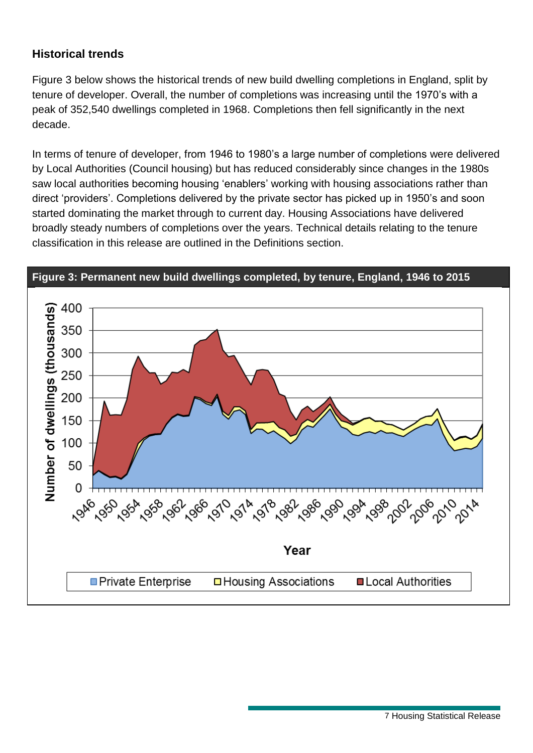#### **Historical trends**

Figure 3 below shows the historical trends of new build dwelling completions in England, split by tenure of developer. Overall, the number of completions was increasing until the 1970's with a peak of 352,540 dwellings completed in 1968. Completions then fell significantly in the next decade.

In terms of tenure of developer, from 1946 to 1980's a large number of completions were delivered by Local Authorities (Council housing) but has reduced considerably since changes in the 1980s saw local authorities becoming housing 'enablers' working with housing associations rather than direct 'providers'. Completions delivered by the private sector has picked up in 1950's and soon started dominating the market through to current day. Housing Associations have delivered broadly steady numbers of completions over the years. Technical details relating to the tenure classification in this release are outlined in the Definitions section.

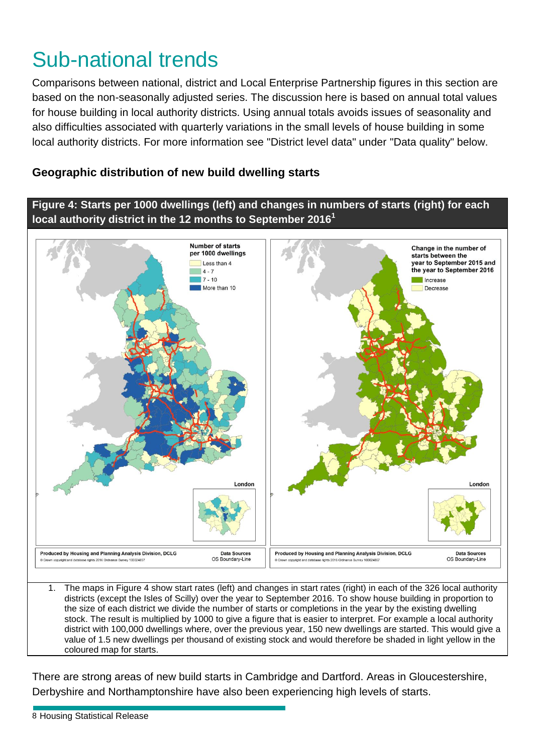# Sub-national trends

Comparisons between national, district and Local Enterprise Partnership figures in this section are based on the non-seasonally adjusted series. The discussion here is based on annual total values for house building in local authority districts. Using annual totals avoids issues of seasonality and also difficulties associated with quarterly variations in the small levels of house building in some local authority districts. For more information see "District level data" under "Data quality" below.

### **Geographic distribution of new build dwelling starts**

### **Figure 4: Starts per 1000 dwellings (left) and changes in numbers of starts (right) for each local authority district in the 12 months to September 2016 1**



the size of each district we divide the number of starts or completions in the year by the existing dwelling stock. The result is multiplied by 1000 to give a figure that is easier to interpret. For example a local authority district with 100,000 dwellings where, over the previous year, 150 new dwellings are started. This would give a value of 1.5 new dwellings per thousand of existing stock and would therefore be shaded in light yellow in the coloured map for starts.

There are strong areas of new build starts in Cambridge and Dartford. Areas in Gloucestershire, Derbyshire and Northamptonshire have also been experiencing high levels of starts.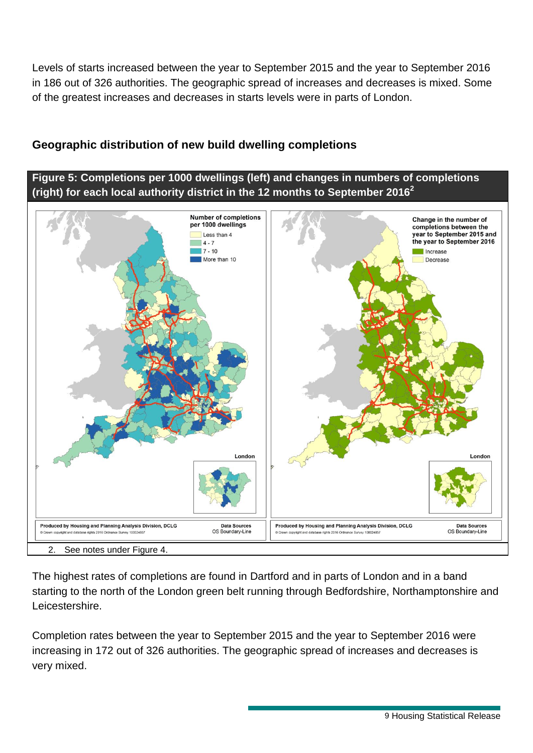Levels of starts increased between the year to September 2015 and the year to September 2016 in 186 out of 326 authorities. The geographic spread of increases and decreases is mixed. Some of the greatest increases and decreases in starts levels were in parts of London.

### **Geographic distribution of new build dwelling completions**

**Figure 5: Completions per 1000 dwellings (left) and changes in numbers of completions (right) for each local authority district in the 12 months to September 2016 2**



The highest rates of completions are found in Dartford and in parts of London and in a band starting to the north of the London green belt running through Bedfordshire, Northamptonshire and Leicestershire.

Completion rates between the year to September 2015 and the year to September 2016 were increasing in 172 out of 326 authorities. The geographic spread of increases and decreases is very mixed.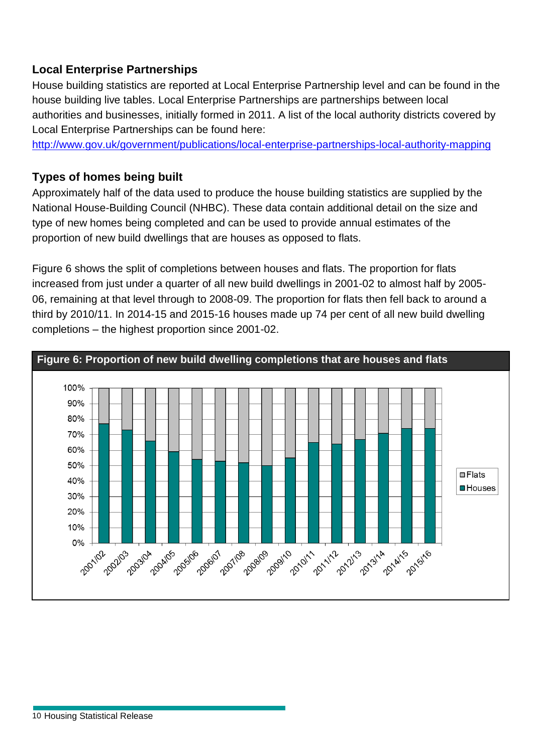### **Local Enterprise Partnerships**

House building statistics are reported at Local Enterprise Partnership level and can be found in the house building live tables. Local Enterprise Partnerships are partnerships between local authorities and businesses, initially formed in 2011. A list of the local authority districts covered by Local Enterprise Partnerships can be found here:

[http://www.gov.uk/government/publications/local-enterprise-partnerships-local-authority-mapping](https://www.gov.uk/government/publications/local-enterprise-partnerships-local-authority-mapping)

#### **Types of homes being built**

Approximately half of the data used to produce the house building statistics are supplied by the National House-Building Council (NHBC). These data contain additional detail on the size and type of new homes being completed and can be used to provide annual estimates of the proportion of new build dwellings that are houses as opposed to flats.

Figure 6 shows the split of completions between houses and flats. The proportion for flats increased from just under a quarter of all new build dwellings in 2001-02 to almost half by 2005- 06, remaining at that level through to 2008-09. The proportion for flats then fell back to around a third by 2010/11. In 2014-15 and 2015-16 houses made up 74 per cent of all new build dwelling completions – the highest proportion since 2001-02.

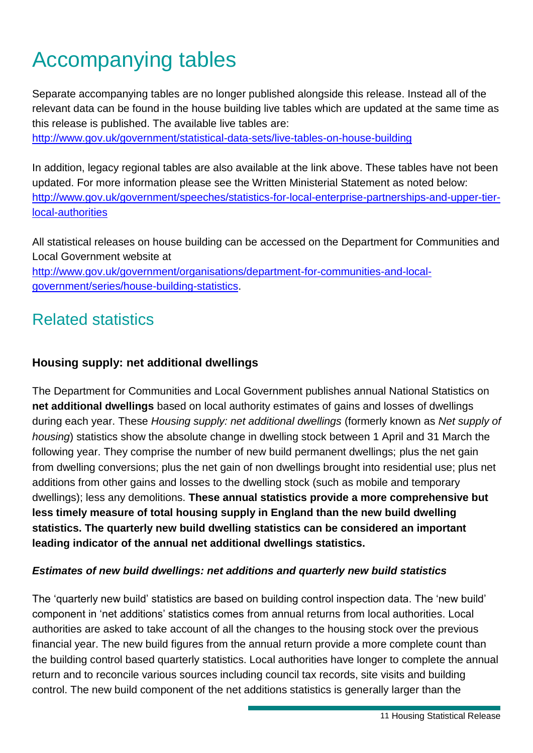# Accompanying tables

Separate accompanying tables are no longer published alongside this release. Instead all of the relevant data can be found in the house building live tables which are updated at the same time as this release is published. The available live tables are:

[http://www.gov.uk/government/statistical-data-sets/live-tables-on-house-building](https://www.gov.uk/government/statistical-data-sets/live-tables-on-house-building)

In addition, legacy regional tables are also available at the link above. These tables have not been updated. For more information please see the Written Ministerial Statement as noted below: [http://www.gov.uk/government/speeches/statistics-for-local-enterprise-partnerships-and-upper-tier](https://www.gov.uk/government/speeches/statistics-for-local-enterprise-partnerships-and-upper-tier-local-authorities)[local-authorities](https://www.gov.uk/government/speeches/statistics-for-local-enterprise-partnerships-and-upper-tier-local-authorities)

All statistical releases on house building can be accessed on the Department for Communities and Local Government website at

[http://www.gov.uk/government/organisations/department-for-communities-and-local](https://www.gov.uk/government/organisations/department-for-communities-and-local-government/series/house-building-statistics)[government/series/house-building-statistics.](https://www.gov.uk/government/organisations/department-for-communities-and-local-government/series/house-building-statistics)

## Related statistics

#### **Housing supply: net additional dwellings**

The Department for Communities and Local Government publishes annual National Statistics on **net additional dwellings** based on local authority estimates of gains and losses of dwellings during each year. These *Housing supply: net additional dwellings* (formerly known as *Net supply of housing*) statistics show the absolute change in dwelling stock between 1 April and 31 March the following year. They comprise the number of new build permanent dwellings; plus the net gain from dwelling conversions; plus the net gain of non dwellings brought into residential use; plus net additions from other gains and losses to the dwelling stock (such as mobile and temporary dwellings); less any demolitions. **These annual statistics provide a more comprehensive but less timely measure of total housing supply in England than the new build dwelling statistics. The quarterly new build dwelling statistics can be considered an important leading indicator of the annual net additional dwellings statistics.**

#### *Estimates of new build dwellings: net additions and quarterly new build statistics*

The 'quarterly new build' statistics are based on building control inspection data. The 'new build' component in 'net additions' statistics comes from annual returns from local authorities. Local authorities are asked to take account of all the changes to the housing stock over the previous financial year. The new build figures from the annual return provide a more complete count than the building control based quarterly statistics. Local authorities have longer to complete the annual return and to reconcile various sources including council tax records, site visits and building control. The new build component of the net additions statistics is generally larger than the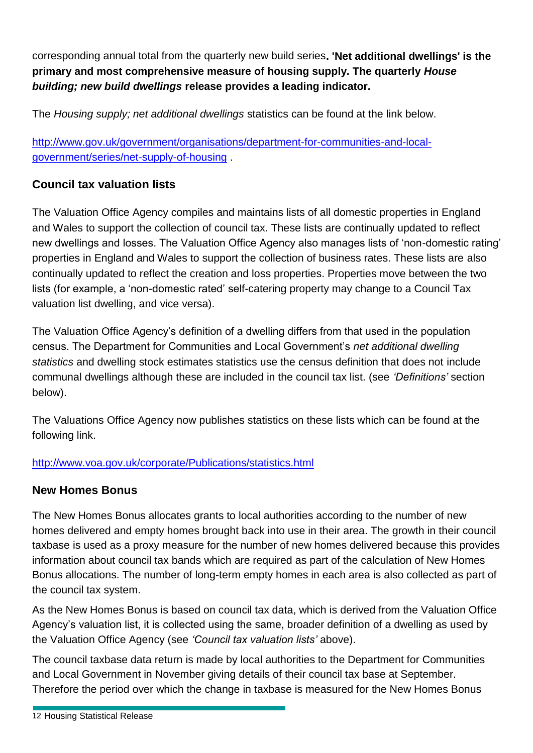corresponding annual total from the quarterly new build series**. 'Net additional dwellings' is the primary and most comprehensive measure of housing supply. The quarterly** *House building; new build dwellings* **release provides a leading indicator.**

The *Housing supply; net additional dwellings* statistics can be found at the link below.

[http://www.gov.uk/government/organisations/department-for-communities-and-local](http://www.gov.uk/government/organisations/department-for-communities-and-local-government/series/net-supply-of-housing)[government/series/net-supply-of-housing](http://www.gov.uk/government/organisations/department-for-communities-and-local-government/series/net-supply-of-housing) .

#### **Council tax valuation lists**

The Valuation Office Agency compiles and maintains lists of all domestic properties in England and Wales to support the collection of council tax. These lists are continually updated to reflect new dwellings and losses. The Valuation Office Agency also manages lists of 'non-domestic rating' properties in England and Wales to support the collection of business rates. These lists are also continually updated to reflect the creation and loss properties. Properties move between the two lists (for example, a 'non-domestic rated' self-catering property may change to a Council Tax valuation list dwelling, and vice versa).

The Valuation Office Agency's definition of a dwelling differs from that used in the population census. The Department for Communities and Local Government's *net additional dwelling statistics* and dwelling stock estimates statistics use the census definition that does not include communal dwellings although these are included in the council tax list. (see *'Definitions'* section below).

The Valuations Office Agency now publishes statistics on these lists which can be found at the following link.

#### <http://www.voa.gov.uk/corporate/Publications/statistics.html>

#### **New Homes Bonus**

The New Homes Bonus allocates grants to local authorities according to the number of new homes delivered and empty homes brought back into use in their area. The growth in their council taxbase is used as a proxy measure for the number of new homes delivered because this provides information about council tax bands which are required as part of the calculation of New Homes Bonus allocations. The number of long-term empty homes in each area is also collected as part of the council tax system.

As the New Homes Bonus is based on council tax data, which is derived from the Valuation Office Agency's valuation list, it is collected using the same, broader definition of a dwelling as used by the Valuation Office Agency (see *'Council tax valuation lists'* above).

The council taxbase data return is made by local authorities to the Department for Communities and Local Government in November giving details of their council tax base at September. Therefore the period over which the change in taxbase is measured for the New Homes Bonus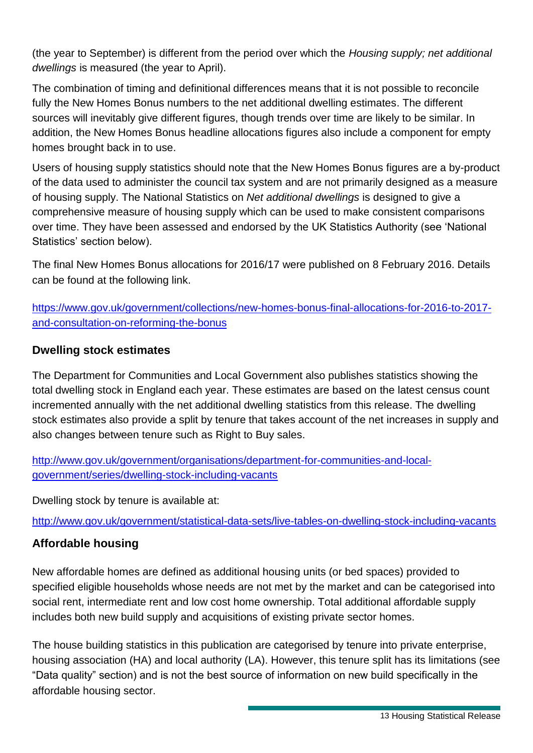(the year to September) is different from the period over which the *Housing supply; net additional dwellings* is measured (the year to April).

The combination of timing and definitional differences means that it is not possible to reconcile fully the New Homes Bonus numbers to the net additional dwelling estimates. The different sources will inevitably give different figures, though trends over time are likely to be similar. In addition, the New Homes Bonus headline allocations figures also include a component for empty homes brought back in to use.

Users of housing supply statistics should note that the New Homes Bonus figures are a by-product of the data used to administer the council tax system and are not primarily designed as a measure of housing supply. The National Statistics on *Net additional dwellings* is designed to give a comprehensive measure of housing supply which can be used to make consistent comparisons over time. They have been assessed and endorsed by the UK Statistics Authority (see 'National Statistics' section below).

The final New Homes Bonus allocations for 2016/17 were published on 8 February 2016. Details can be found at the following link.

[https://www.gov.uk/government/collections/new-homes-bonus-final-allocations-for-2016-to-2017](https://www.gov.uk/government/collections/new-homes-bonus-final-allocations-for-2016-to-2017-and-consultation-on-reforming-the-bonus) [and-consultation-on-reforming-the-bonus](https://www.gov.uk/government/collections/new-homes-bonus-final-allocations-for-2016-to-2017-and-consultation-on-reforming-the-bonus)

#### **Dwelling stock estimates**

The Department for Communities and Local Government also publishes statistics showing the total dwelling stock in England each year. These estimates are based on the latest census count incremented annually with the net additional dwelling statistics from this release. The dwelling stock estimates also provide a split by tenure that takes account of the net increases in supply and also changes between tenure such as Right to Buy sales.

[http://www.gov.uk/government/organisations/department-for-communities-and-local](http://www.gov.uk/government/organisations/department-for-communities-and-local-government/series/dwelling-stock-including-vacants)[government/series/dwelling-stock-including-vacants](http://www.gov.uk/government/organisations/department-for-communities-and-local-government/series/dwelling-stock-including-vacants) 

Dwelling stock by tenure is available at:

<http://www.gov.uk/government/statistical-data-sets/live-tables-on-dwelling-stock-including-vacants>

### **Affordable housing**

New affordable homes are defined as additional housing units (or bed spaces) provided to specified eligible households whose needs are not met by the market and can be categorised into social rent, intermediate rent and low cost home ownership. Total additional affordable supply includes both new build supply and acquisitions of existing private sector homes.

The house building statistics in this publication are categorised by tenure into private enterprise, housing association (HA) and local authority (LA). However, this tenure split has its limitations (see "Data quality" section) and is not the best source of information on new build specifically in the affordable housing sector.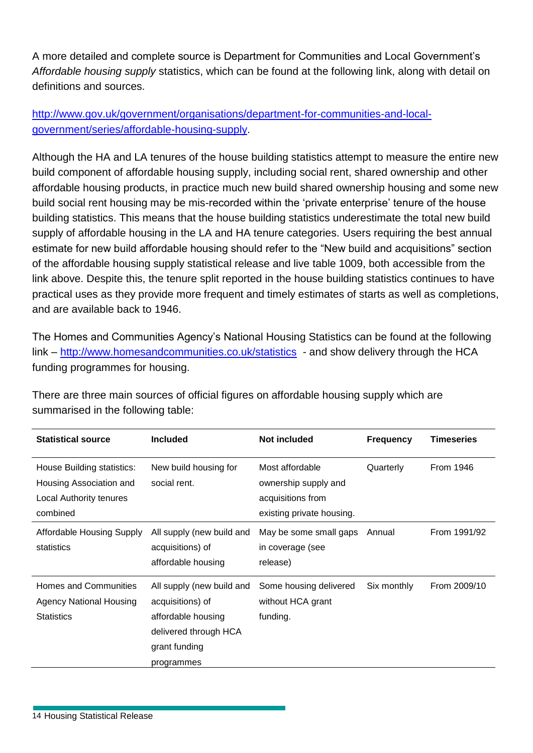A more detailed and complete source is Department for Communities and Local Government's *Affordable housing supply* statistics, which can be found at the following link, along with detail on definitions and sources.

#### [http://www.gov.uk/government/organisations/department-for-communities-and-local](http://www.gov.uk/government/organisations/department-for-communities-and-local-government/series/affordable-housing-supply)[government/series/affordable-housing-supply.](http://www.gov.uk/government/organisations/department-for-communities-and-local-government/series/affordable-housing-supply)

Although the HA and LA tenures of the house building statistics attempt to measure the entire new build component of affordable housing supply, including social rent, shared ownership and other affordable housing products, in practice much new build shared ownership housing and some new build social rent housing may be mis-recorded within the 'private enterprise' tenure of the house building statistics. This means that the house building statistics underestimate the total new build supply of affordable housing in the LA and HA tenure categories. Users requiring the best annual estimate for new build affordable housing should refer to the "New build and acquisitions" section of the affordable housing supply statistical release and live table 1009, both accessible from the link above. Despite this, the tenure split reported in the house building statistics continues to have practical uses as they provide more frequent and timely estimates of starts as well as completions, and are available back to 1946.

The Homes and Communities Agency's National Housing Statistics can be found at the following link – <http://www.homesandcommunities.co.uk/statistics>- and show delivery through the HCA funding programmes for housing.

| <b>Statistical source</b>                                                                    | <b>Included</b>                                                                                                             | <b>Not included</b>                                                                       | <b>Frequency</b> | <b>Timeseries</b> |  |
|----------------------------------------------------------------------------------------------|-----------------------------------------------------------------------------------------------------------------------------|-------------------------------------------------------------------------------------------|------------------|-------------------|--|
| House Building statistics:<br>Housing Association and<br>Local Authority tenures<br>combined | New build housing for<br>social rent.                                                                                       | Most affordable<br>ownership supply and<br>acquisitions from<br>existing private housing. | Quarterly        | <b>From 1946</b>  |  |
| Affordable Housing Supply<br>statistics                                                      | All supply (new build and<br>acquisitions) of<br>affordable housing                                                         | May be some small gaps<br>in coverage (see<br>release)                                    | Annual           | From 1991/92      |  |
| Homes and Communities<br><b>Agency National Housing</b><br><b>Statistics</b>                 | All supply (new build and<br>acquisitions) of<br>affordable housing<br>delivered through HCA<br>grant funding<br>programmes | Some housing delivered<br>without HCA grant<br>funding.                                   | Six monthly      | From 2009/10      |  |

There are three main sources of official figures on affordable housing supply which are summarised in the following table: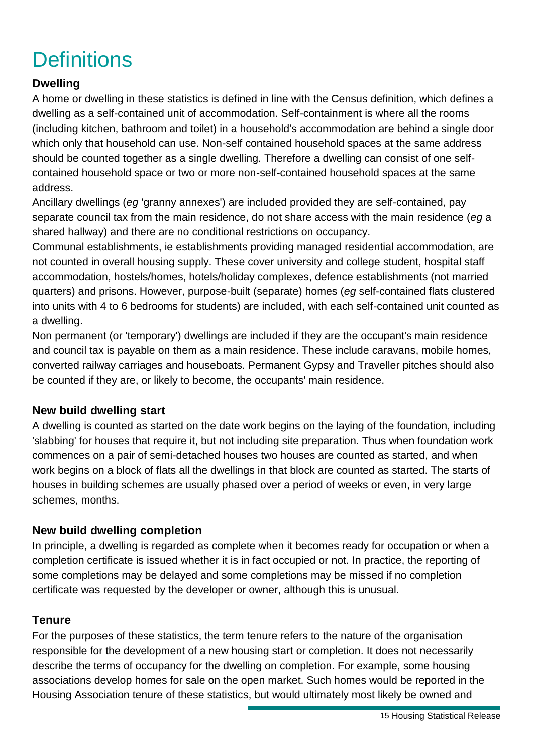# **Definitions**

### **Dwelling**

A home or dwelling in these statistics is defined in line with the Census definition, which defines a dwelling as a self-contained unit of accommodation. Self-containment is where all the rooms (including kitchen, bathroom and toilet) in a household's accommodation are behind a single door which only that household can use. Non-self contained household spaces at the same address should be counted together as a single dwelling. Therefore a dwelling can consist of one selfcontained household space or two or more non-self-contained household spaces at the same address.

Ancillary dwellings (*eg* 'granny annexes') are included provided they are self-contained, pay separate council tax from the main residence, do not share access with the main residence (*eg* a shared hallway) and there are no conditional restrictions on occupancy.

Communal establishments, ie establishments providing managed residential accommodation, are not counted in overall housing supply. These cover university and college student, hospital staff accommodation, hostels/homes, hotels/holiday complexes, defence establishments (not married quarters) and prisons. However, purpose-built (separate) homes (*eg* self-contained flats clustered into units with 4 to 6 bedrooms for students) are included, with each self-contained unit counted as a dwelling.

Non permanent (or 'temporary') dwellings are included if they are the occupant's main residence and council tax is payable on them as a main residence. These include caravans, mobile homes, converted railway carriages and houseboats. Permanent Gypsy and Traveller pitches should also be counted if they are, or likely to become, the occupants' main residence.

#### **New build dwelling start**

A dwelling is counted as started on the date work begins on the laying of the foundation, including 'slabbing' for houses that require it, but not including site preparation. Thus when foundation work commences on a pair of semi-detached houses two houses are counted as started, and when work begins on a block of flats all the dwellings in that block are counted as started. The starts of houses in building schemes are usually phased over a period of weeks or even, in very large schemes, months.

#### **New build dwelling completion**

In principle, a dwelling is regarded as complete when it becomes ready for occupation or when a completion certificate is issued whether it is in fact occupied or not. In practice, the reporting of some completions may be delayed and some completions may be missed if no completion certificate was requested by the developer or owner, although this is unusual.

#### **Tenure**

For the purposes of these statistics, the term tenure refers to the nature of the organisation responsible for the development of a new housing start or completion. It does not necessarily describe the terms of occupancy for the dwelling on completion. For example, some housing associations develop homes for sale on the open market. Such homes would be reported in the Housing Association tenure of these statistics, but would ultimately most likely be owned and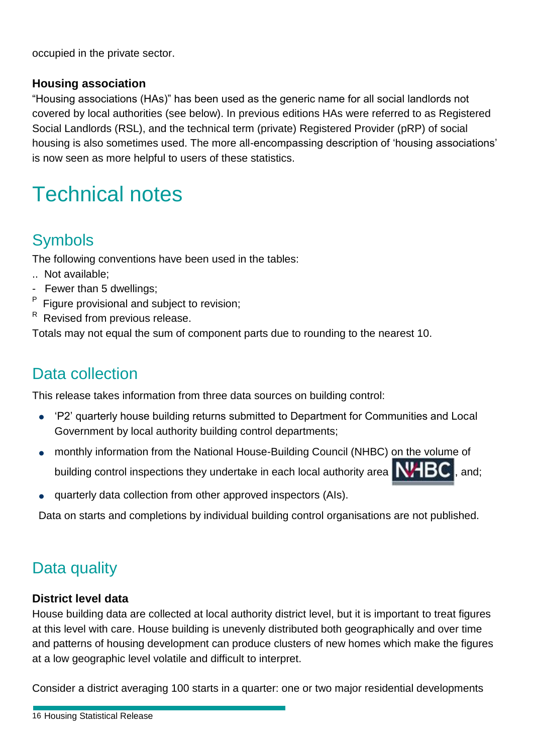occupied in the private sector.

#### **Housing association**

"Housing associations (HAs)" has been used as the generic name for all social landlords not covered by local authorities (see below). In previous editions HAs were referred to as Registered Social Landlords (RSL), and the technical term (private) Registered Provider (pRP) of social housing is also sometimes used. The more all-encompassing description of 'housing associations' is now seen as more helpful to users of these statistics.

# Technical notes

## Symbols

The following conventions have been used in the tables:

- .. Not available;
- Fewer than 5 dwellings;
- P Figure provisional and subject to revision;
- R Revised from previous release.

Totals may not equal the sum of component parts due to rounding to the nearest 10.

## Data collection

This release takes information from three data sources on building control:

- 'P2' quarterly house building returns submitted to Department for Communities and Local Government by local authority building control departments;
- monthly information from the National House-Building Council (NHBC) on the volume of building control inspections they undertake in each local authority area  $\mathbf{N}$   $\mathbf{BC}$ , and;
- quarterly data collection from other approved inspectors (AIs).

Data on starts and completions by individual building control organisations are not published.

## Data quality

#### **District level data**

House building data are collected at local authority district level, but it is important to treat figures at this level with care. House building is unevenly distributed both geographically and over time and patterns of housing development can produce clusters of new homes which make the figures at a low geographic level volatile and difficult to interpret.

Consider a district averaging 100 starts in a quarter: one or two major residential developments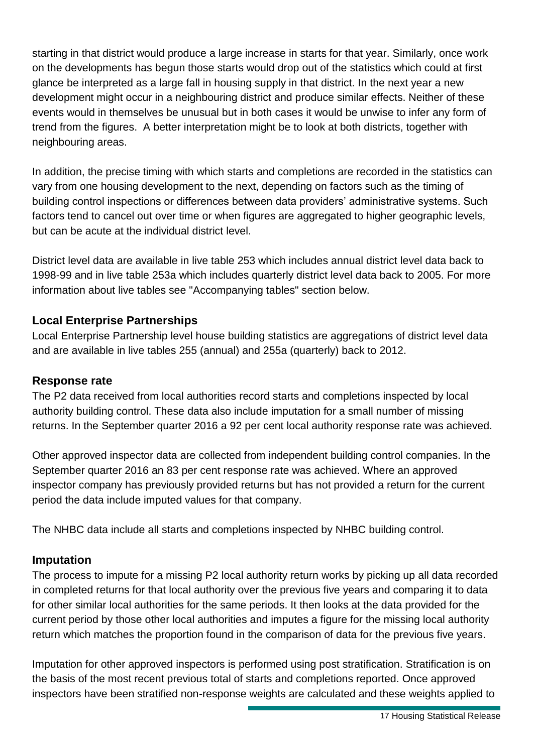starting in that district would produce a large increase in starts for that year. Similarly, once work on the developments has begun those starts would drop out of the statistics which could at first glance be interpreted as a large fall in housing supply in that district. In the next year a new development might occur in a neighbouring district and produce similar effects. Neither of these events would in themselves be unusual but in both cases it would be unwise to infer any form of trend from the figures. A better interpretation might be to look at both districts, together with neighbouring areas.

In addition, the precise timing with which starts and completions are recorded in the statistics can vary from one housing development to the next, depending on factors such as the timing of building control inspections or differences between data providers' administrative systems. Such factors tend to cancel out over time or when figures are aggregated to higher geographic levels, but can be acute at the individual district level.

District level data are available in live table 253 which includes annual district level data back to 1998-99 and in live table 253a which includes quarterly district level data back to 2005. For more information about live tables see "Accompanying tables" section below.

#### **Local Enterprise Partnerships**

Local Enterprise Partnership level house building statistics are aggregations of district level data and are available in live tables 255 (annual) and 255a (quarterly) back to 2012.

#### **Response rate**

The P2 data received from local authorities record starts and completions inspected by local authority building control. These data also include imputation for a small number of missing returns. In the September quarter 2016 a 92 per cent local authority response rate was achieved.

Other approved inspector data are collected from independent building control companies. In the September quarter 2016 an 83 per cent response rate was achieved. Where an approved inspector company has previously provided returns but has not provided a return for the current period the data include imputed values for that company.

The NHBC data include all starts and completions inspected by NHBC building control.

#### **Imputation**

The process to impute for a missing P2 local authority return works by picking up all data recorded in completed returns for that local authority over the previous five years and comparing it to data for other similar local authorities for the same periods. It then looks at the data provided for the current period by those other local authorities and imputes a figure for the missing local authority return which matches the proportion found in the comparison of data for the previous five years.

Imputation for other approved inspectors is performed using post stratification. Stratification is on the basis of the most recent previous total of starts and completions reported. Once approved inspectors have been stratified non-response weights are calculated and these weights applied to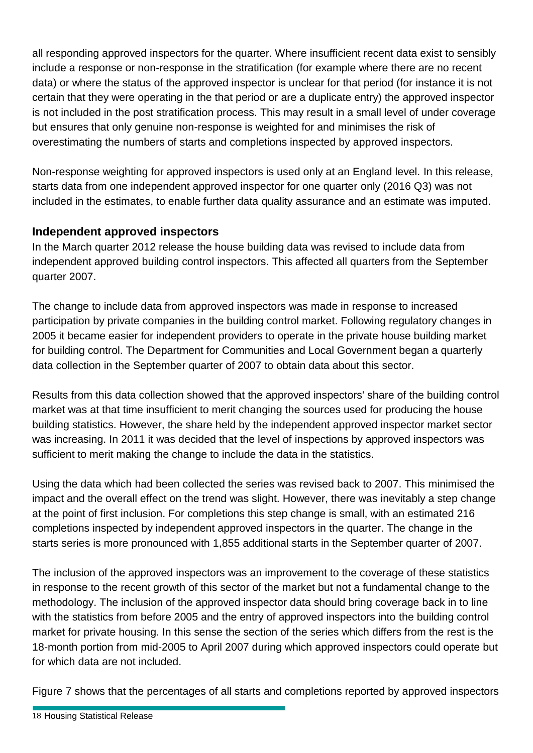all responding approved inspectors for the quarter. Where insufficient recent data exist to sensibly include a response or non-response in the stratification (for example where there are no recent data) or where the status of the approved inspector is unclear for that period (for instance it is not certain that they were operating in the that period or are a duplicate entry) the approved inspector is not included in the post stratification process. This may result in a small level of under coverage but ensures that only genuine non-response is weighted for and minimises the risk of overestimating the numbers of starts and completions inspected by approved inspectors.

Non-response weighting for approved inspectors is used only at an England level. In this release, starts data from one independent approved inspector for one quarter only (2016 Q3) was not included in the estimates, to enable further data quality assurance and an estimate was imputed.

### **Independent approved inspectors**

In the March quarter 2012 release the house building data was revised to include data from independent approved building control inspectors. This affected all quarters from the September quarter 2007.

The change to include data from approved inspectors was made in response to increased participation by private companies in the building control market. Following regulatory changes in 2005 it became easier for independent providers to operate in the private house building market for building control. The Department for Communities and Local Government began a quarterly data collection in the September quarter of 2007 to obtain data about this sector.

Results from this data collection showed that the approved inspectors' share of the building control market was at that time insufficient to merit changing the sources used for producing the house building statistics. However, the share held by the independent approved inspector market sector was increasing. In 2011 it was decided that the level of inspections by approved inspectors was sufficient to merit making the change to include the data in the statistics.

Using the data which had been collected the series was revised back to 2007. This minimised the impact and the overall effect on the trend was slight. However, there was inevitably a step change at the point of first inclusion. For completions this step change is small, with an estimated 216 completions inspected by independent approved inspectors in the quarter. The change in the starts series is more pronounced with 1,855 additional starts in the September quarter of 2007.

The inclusion of the approved inspectors was an improvement to the coverage of these statistics in response to the recent growth of this sector of the market but not a fundamental change to the methodology. The inclusion of the approved inspector data should bring coverage back in to line with the statistics from before 2005 and the entry of approved inspectors into the building control market for private housing. In this sense the section of the series which differs from the rest is the 18-month portion from mid-2005 to April 2007 during which approved inspectors could operate but for which data are not included.

Figure 7 shows that the percentages of all starts and completions reported by approved inspectors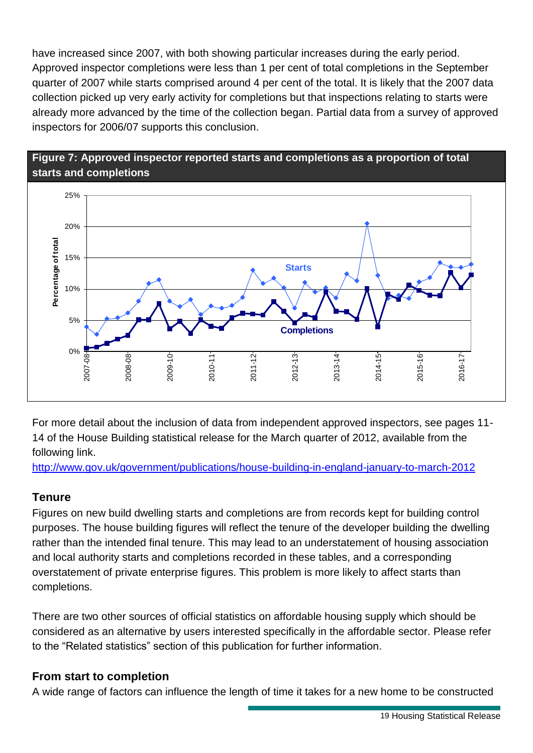have increased since 2007, with both showing particular increases during the early period. Approved inspector completions were less than 1 per cent of total completions in the September quarter of 2007 while starts comprised around 4 per cent of the total. It is likely that the 2007 data collection picked up very early activity for completions but that inspections relating to starts were already more advanced by the time of the collection began. Partial data from a survey of approved inspectors for 2006/07 supports this conclusion.

#### **Figure 7: Approved inspector reported starts and completions as a proportion of total starts and completions**



For more detail about the inclusion of data from independent approved inspectors, see pages 11- 14 of the House Building statistical release for the March quarter of 2012, available from the following link.

<http://www.gov.uk/government/publications/house-building-in-england-january-to-march-2012>

### **Tenure**

Figures on new build dwelling starts and completions are from records kept for building control purposes. The house building figures will reflect the tenure of the developer building the dwelling rather than the intended final tenure. This may lead to an understatement of housing association and local authority starts and completions recorded in these tables, and a corresponding overstatement of private enterprise figures. This problem is more likely to affect starts than completions.

There are two other sources of official statistics on affordable housing supply which should be considered as an alternative by users interested specifically in the affordable sector. Please refer to the "Related statistics" section of this publication for further information.

#### **From start to completion**

A wide range of factors can influence the length of time it takes for a new home to be constructed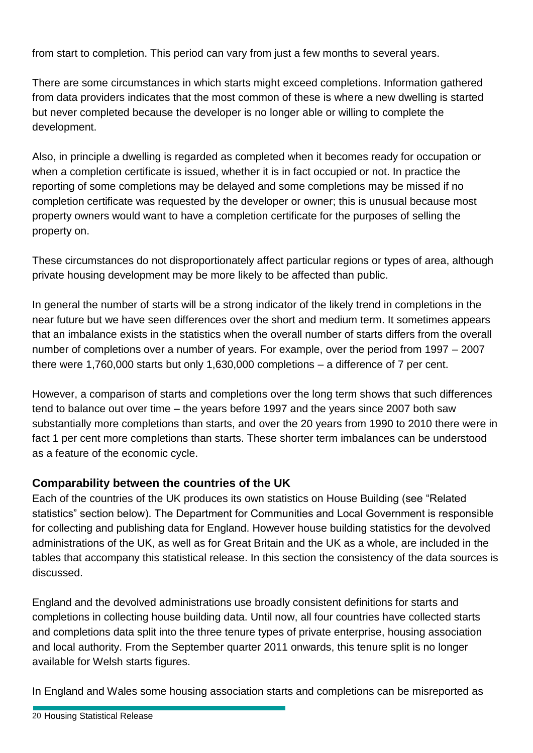from start to completion. This period can vary from just a few months to several years.

There are some circumstances in which starts might exceed completions. Information gathered from data providers indicates that the most common of these is where a new dwelling is started but never completed because the developer is no longer able or willing to complete the development.

Also, in principle a dwelling is regarded as completed when it becomes ready for occupation or when a completion certificate is issued, whether it is in fact occupied or not. In practice the reporting of some completions may be delayed and some completions may be missed if no completion certificate was requested by the developer or owner; this is unusual because most property owners would want to have a completion certificate for the purposes of selling the property on.

These circumstances do not disproportionately affect particular regions or types of area, although private housing development may be more likely to be affected than public.

In general the number of starts will be a strong indicator of the likely trend in completions in the near future but we have seen differences over the short and medium term. It sometimes appears that an imbalance exists in the statistics when the overall number of starts differs from the overall number of completions over a number of years. For example, over the period from 1997 – 2007 there were 1,760,000 starts but only 1,630,000 completions – a difference of 7 per cent.

However, a comparison of starts and completions over the long term shows that such differences tend to balance out over time – the years before 1997 and the years since 2007 both saw substantially more completions than starts, and over the 20 years from 1990 to 2010 there were in fact 1 per cent more completions than starts. These shorter term imbalances can be understood as a feature of the economic cycle.

#### **Comparability between the countries of the UK**

Each of the countries of the UK produces its own statistics on House Building (see "Related statistics" section below). The Department for Communities and Local Government is responsible for collecting and publishing data for England. However house building statistics for the devolved administrations of the UK, as well as for Great Britain and the UK as a whole, are included in the tables that accompany this statistical release. In this section the consistency of the data sources is discussed.

England and the devolved administrations use broadly consistent definitions for starts and completions in collecting house building data. Until now, all four countries have collected starts and completions data split into the three tenure types of private enterprise, housing association and local authority. From the September quarter 2011 onwards, this tenure split is no longer available for Welsh starts figures.

In England and Wales some housing association starts and completions can be misreported as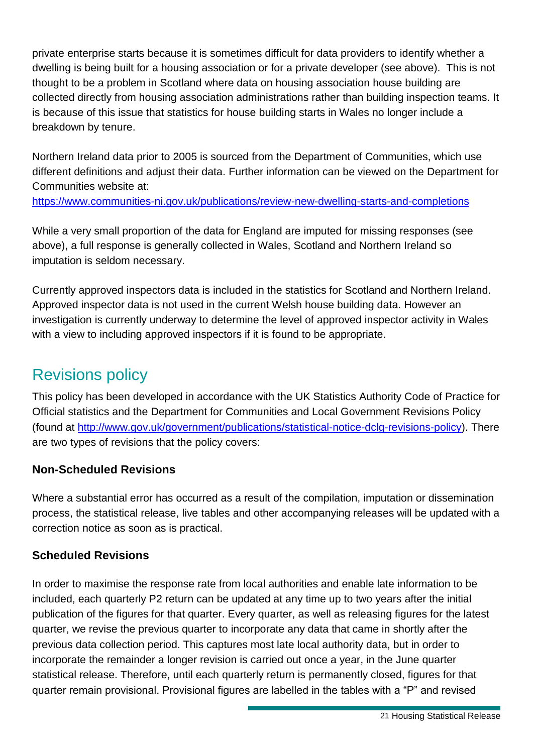private enterprise starts because it is sometimes difficult for data providers to identify whether a dwelling is being built for a housing association or for a private developer (see above). This is not thought to be a problem in Scotland where data on housing association house building are collected directly from housing association administrations rather than building inspection teams. It is because of this issue that statistics for house building starts in Wales no longer include a breakdown by tenure.

Northern Ireland data prior to 2005 is sourced from the Department of Communities, which use different definitions and adjust their data. Further information can be viewed on the Department for Communities website at: <https://www.communities-ni.gov.uk/publications/review-new-dwelling-starts-and-completions>

While a very small proportion of the data for England are imputed for missing responses (see above), a full response is generally collected in Wales, Scotland and Northern Ireland so imputation is seldom necessary.

Currently approved inspectors data is included in the statistics for Scotland and Northern Ireland. Approved inspector data is not used in the current Welsh house building data. However an investigation is currently underway to determine the level of approved inspector activity in Wales with a view to including approved inspectors if it is found to be appropriate.

## Revisions policy

This policy has been developed in accordance with the UK Statistics Authority Code of Practice for Official statistics and the Department for Communities and Local Government Revisions Policy (found at [http://www.gov.uk/government/publications/statistical-notice-dclg-revisions-policy\)](http://www.gov.uk/government/publications/statistical-notice-dclg-revisions-policy). There are two types of revisions that the policy covers:

### **Non-Scheduled Revisions**

Where a substantial error has occurred as a result of the compilation, imputation or dissemination process, the statistical release, live tables and other accompanying releases will be updated with a correction notice as soon as is practical.

### **Scheduled Revisions**

In order to maximise the response rate from local authorities and enable late information to be included, each quarterly P2 return can be updated at any time up to two years after the initial publication of the figures for that quarter. Every quarter, as well as releasing figures for the latest quarter, we revise the previous quarter to incorporate any data that came in shortly after the previous data collection period. This captures most late local authority data, but in order to incorporate the remainder a longer revision is carried out once a year, in the June quarter statistical release. Therefore, until each quarterly return is permanently closed, figures for that quarter remain provisional. Provisional figures are labelled in the tables with a "P" and revised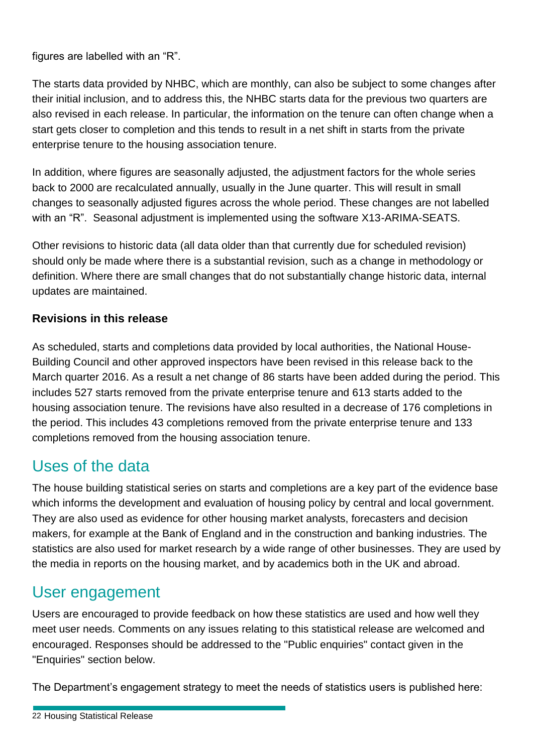figures are labelled with an "R".

The starts data provided by NHBC, which are monthly, can also be subject to some changes after their initial inclusion, and to address this, the NHBC starts data for the previous two quarters are also revised in each release. In particular, the information on the tenure can often change when a start gets closer to completion and this tends to result in a net shift in starts from the private enterprise tenure to the housing association tenure.

In addition, where figures are seasonally adjusted, the adjustment factors for the whole series back to 2000 are recalculated annually, usually in the June quarter. This will result in small changes to seasonally adjusted figures across the whole period. These changes are not labelled with an "R". Seasonal adjustment is implemented using the software X13-ARIMA-SEATS.

Other revisions to historic data (all data older than that currently due for scheduled revision) should only be made where there is a substantial revision, such as a change in methodology or definition. Where there are small changes that do not substantially change historic data, internal updates are maintained.

#### **Revisions in this release**

As scheduled, starts and completions data provided by local authorities, the National House-Building Council and other approved inspectors have been revised in this release back to the March quarter 2016. As a result a net change of 86 starts have been added during the period. This includes 527 starts removed from the private enterprise tenure and 613 starts added to the housing association tenure. The revisions have also resulted in a decrease of 176 completions in the period. This includes 43 completions removed from the private enterprise tenure and 133 completions removed from the housing association tenure.

## Uses of the data

The house building statistical series on starts and completions are a key part of the evidence base which informs the development and evaluation of housing policy by central and local government. They are also used as evidence for other housing market analysts, forecasters and decision makers, for example at the Bank of England and in the construction and banking industries. The statistics are also used for market research by a wide range of other businesses. They are used by the media in reports on the housing market, and by academics both in the UK and abroad.

### User engagement

Users are encouraged to provide feedback on how these statistics are used and how well they meet user needs. Comments on any issues relating to this statistical release are welcomed and encouraged. Responses should be addressed to the "Public enquiries" contact given in the "Enquiries" section below.

The Department's engagement strategy to meet the needs of statistics users is published here: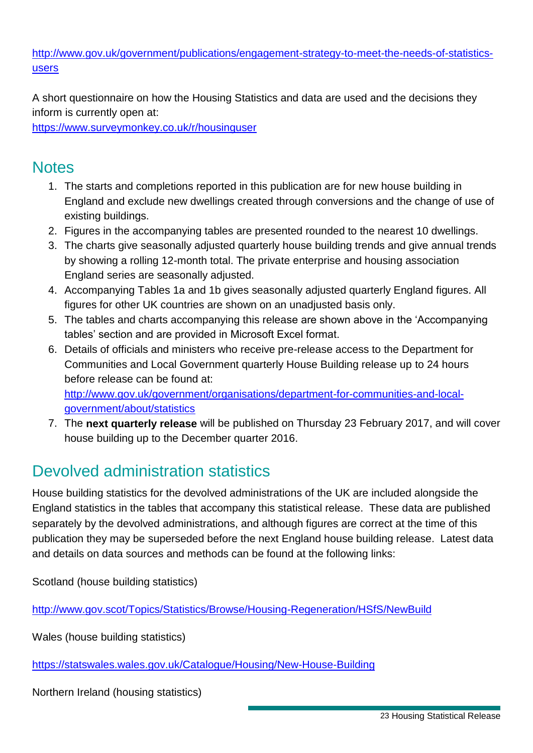[http://www.gov.uk/government/publications/engagement-strategy-to-meet-the-needs-of-statistics](http://www.gov.uk/government/publications/engagement-strategy-to-meet-the-needs-of-statistics-users)[users](http://www.gov.uk/government/publications/engagement-strategy-to-meet-the-needs-of-statistics-users)

A short questionnaire on how the Housing Statistics and data are used and the decisions they inform is currently open at:

<https://www.surveymonkey.co.uk/r/housinguser>

## **Notes**

- 1. The starts and completions reported in this publication are for new house building in England and exclude new dwellings created through conversions and the change of use of existing buildings.
- 2. Figures in the accompanying tables are presented rounded to the nearest 10 dwellings.
- 3. The charts give seasonally adjusted quarterly house building trends and give annual trends by showing a rolling 12-month total. The private enterprise and housing association England series are seasonally adjusted.
- 4. Accompanying Tables 1a and 1b gives seasonally adjusted quarterly England figures. All figures for other UK countries are shown on an unadjusted basis only.
- 5. The tables and charts accompanying this release are shown above in the 'Accompanying tables' section and are provided in Microsoft Excel format.
- 6. Details of officials and ministers who receive pre-release access to the Department for Communities and Local Government quarterly House Building release up to 24 hours before release can be found at: [http://www.gov.uk/government/organisations/department-for-communities-and-local-](http://www.gov.uk/government/organisations/department-for-communities-and-local-government/about/statistics)

[government/about/statistics](http://www.gov.uk/government/organisations/department-for-communities-and-local-government/about/statistics)

7. The **next quarterly release** will be published on Thursday 23 February 2017, and will cover house building up to the December quarter 2016.

## Devolved administration statistics

House building statistics for the devolved administrations of the UK are included alongside the England statistics in the tables that accompany this statistical release. These data are published separately by the devolved administrations, and although figures are correct at the time of this publication they may be superseded before the next England house building release. Latest data and details on data sources and methods can be found at the following links:

Scotland (house building statistics)

<http://www.gov.scot/Topics/Statistics/Browse/Housing-Regeneration/HSfS/NewBuild>

Wales (house building statistics)

<https://statswales.wales.gov.uk/Catalogue/Housing/New-House-Building>

Northern Ireland (housing statistics)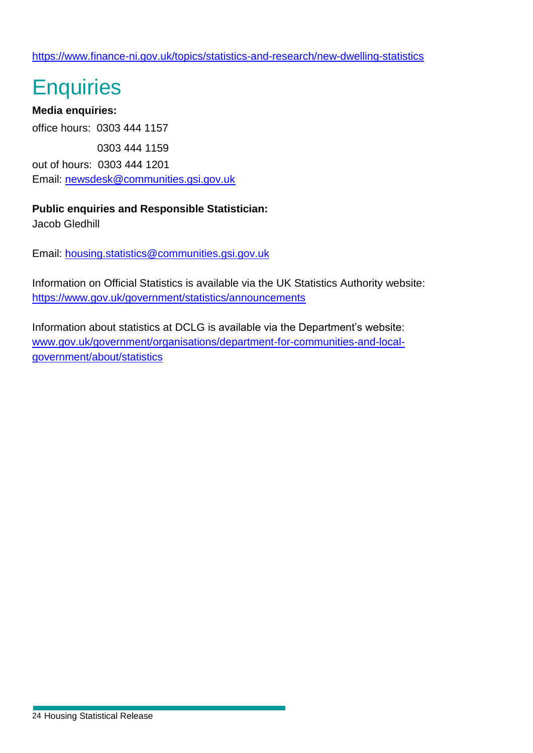# **Enquiries**

**Media enquiries:** office hours: 0303 444 1157 0303 444 1159 out of hours: 0303 444 1201 Email: [newsdesk@communities.gsi.gov.uk](mailto:newsdesk@communities.gsi.gov.uk)

#### **Public enquiries and Responsible Statistician:**

Jacob Gledhill

Email: [housing.statistics@communities.gsi.gov.uk](mailto:housing.statistics@communities.gsi.gov.uk)

Information on Official Statistics is available via the UK Statistics Authority website: <https://www.gov.uk/government/statistics/announcements>

Information about statistics at DCLG is available via the Department's website: [www.gov.uk/government/organisations/department-for-communities-and-local](http://www.gov.uk/government/organisations/department-for-communities-and-local-government/about/statistics)[government/about/statistics](http://www.gov.uk/government/organisations/department-for-communities-and-local-government/about/statistics)